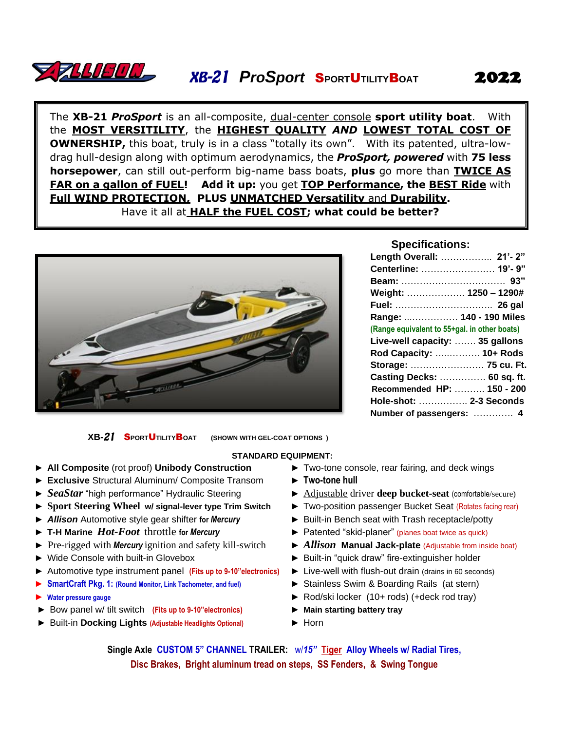

The **XB-21** *ProSport* is an all-composite, dual-center console **sport utility boat**. With the **MOST VERSITILITY**, the **HIGHEST QUALITY** *AND* **LOWEST TOTAL COST OF OWNERSHIP,** this boat, truly is in a class "totally its own". With its patented, ultra-lowdrag hull-design along with optimum aerodynamics, the *ProSport, powered* with **75 less horsepower**, can still out-perform big-name bass boats, **plus** go more than **TWICE AS FAR on a gallon of FUEL! Add it up:** you get **TOP Performance, the BEST Ride** with **Full WIND PROTECTION, PLUS UNMATCHED Versatility** and **Durability.** Have it all at **HALF the FUEL COST; what could be better?**



## **Specifications:**

| Length Overall:  21'-2"                      |
|----------------------------------------------|
| Centerline:  19'-9"                          |
|                                              |
| Weight:  1250 - 1290#                        |
| Fuel: …………………………… 26 qal                     |
| Range:  140 - 190 Miles                      |
| (Range equivalent to 55+gal. in other boats) |
| Live-well capacity:  35 gallons              |
| Rod Capacity:  10+ Rods                      |
| Storage:  75 cu. Ft.                         |
| Casting Decks:  60 sq. ft.                   |
| Recommended HP:  150 - 200                   |
| Hole-shot:  2-3 Seconds                      |
| Number of passengers:  4                     |
|                                              |

**XB-21** SPORTUTILITY BOAT (SHOWN WITH GEL-COAT OPTIONS)

## **STANDARD EQUIPMENT:**

- ► **All Composite** (rot proof) **Unibody Construction** ► Two-tone console, rear fairing, and deck wings
- ► **Exclusive** Structural Aluminum/ Composite Transom
- ► *SeaStar* "high performance" Hydraulic Steering
- ► **Sport Steering Wheel w/ signal-lever type Trim Switch**
- ► *Allison* Automotive style gear shifter **for** *Mercury*
- ► **T-H Marine** *Hot-Foot* throttle **for** *Mercury*
- ► Pre-rigged with *Mercury* ignition and safety kill-switch
- ► Wide Console with built-in Glovebox
- ► Automotive type instrument panel **(Fits up to 9-10"electronics)**
- ► **SmartCraft Pkg. 1: (Round Monitor, Link Tachometer, and fuel)**
- ► **Water pressure gauge**
- ► Bow panel w/ tilt switch **(Fits up to 9-10"electronics)**
- ► Built-in **Docking Lights (Adjustable Headlights Optional)**
- 
- ► **Two-tone hull**
- ► Adjustable driver **deep bucket-seat** (comfortable/secure)
- ► Two-position passenger Bucket Seat (Rotates facing rear)
- ► Built-in Bench seat with Trash receptacle/potty
- ► Patented "skid-planer" (planes boat twice as quick)
- ► *Allison* **Manual Jack-plate** (Adjustable from inside boat)
- ► Built-in "quick draw" fire-extinguisher holder
- ► Live-well with flush-out drain (drains in 60 seconds)
- ► Stainless Swim & Boarding Rails (at stern)
- ► Rod/ski locker (10+ rods) (+deck rod tray)
- ► **Main starting battery tray**
- ► Horn

**Single Axle CUSTOM 5" CHANNEL TRAILER:** w/*15"* **Tiger Alloy Wheels w/ Radial Tires, Disc Brakes, Bright aluminum tread on steps, SS Fenders, & Swing Tongue**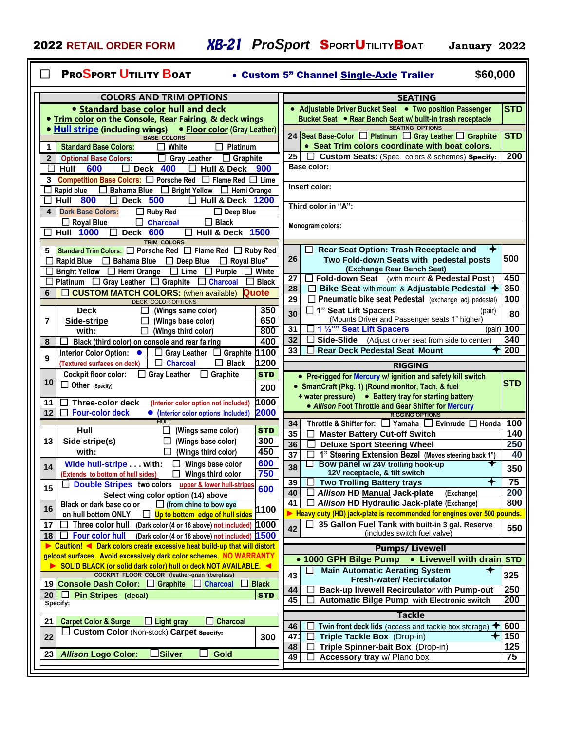| <b>PROSPORT UTILITY BOAT</b><br>\$60,000<br>• Custom 5" Channel Single-Axle Trailer                                                                                                        |                                                                                                                      |  |  |  |  |  |  |  |
|--------------------------------------------------------------------------------------------------------------------------------------------------------------------------------------------|----------------------------------------------------------------------------------------------------------------------|--|--|--|--|--|--|--|
| <b>COLORS AND TRIM OPTIONS</b>                                                                                                                                                             | <b>SEATING</b>                                                                                                       |  |  |  |  |  |  |  |
| • Standard base color hull and deck                                                                                                                                                        | • Adjustable Driver Bucket Seat • Two position Passenger<br><b>STD</b>                                               |  |  |  |  |  |  |  |
| <b>• Trim color on the Console, Rear Fairing, &amp; deck wings</b>                                                                                                                         | Bucket Seat • Rear Bench Seat w/ built-in trash receptacle                                                           |  |  |  |  |  |  |  |
| • Hull stripe (including wings) • Floor color (Gray Leather)<br><b>BASE COLORS</b>                                                                                                         | <b>SEATING OPTIONS</b><br><b>STD</b><br>24 Seat Base-Color Platinum Gray Leather Graphite                            |  |  |  |  |  |  |  |
| $\mathbf{1}$<br><b>Standard Base Colors:</b><br>White<br>Platinum                                                                                                                          | • Seat Trim colors coordinate with boat colors.                                                                      |  |  |  |  |  |  |  |
| $\mathbf{2}$<br><b>Optional Base Colors:</b><br><b>Gray Leather</b><br>$\Box$ Graphite<br>$\Box$                                                                                           | 200<br>Custom Seats: (Spec. colors & schemes) Specify:<br>25                                                         |  |  |  |  |  |  |  |
| 600<br>Hull<br>Deck 400<br><b>Hull &amp; Deck</b><br>П<br>900<br>$\mathbf{1}$                                                                                                              | Base color:                                                                                                          |  |  |  |  |  |  |  |
| <b>Competition Base Colors:</b> $\Box$ Porsche Red $\Box$ Flame Red $\Box$ Lime<br>3                                                                                                       | Insert color:                                                                                                        |  |  |  |  |  |  |  |
| Bahama Blue <b>Bright Yellow Hemi Orange</b><br><b>Rapid blue</b><br>$\Box$<br>$\Box$<br><b>Hull 800</b><br><b>Deck 500</b><br><b>Hull &amp; Deck 1200</b><br>$\Box$<br>$\mathbf{I}$<br>ΙI |                                                                                                                      |  |  |  |  |  |  |  |
| 4<br><b>Dark Base Colors:</b><br>$\Box$ Ruby Red<br>$\Box$ Deep Blue                                                                                                                       | Third color in "A":                                                                                                  |  |  |  |  |  |  |  |
| $\Box$ Black<br>$\Box$ Royal Blue<br>ப<br><b>Charcoal</b>                                                                                                                                  | Monogram colors:                                                                                                     |  |  |  |  |  |  |  |
| <b>Hull 1000</b><br>Deck 600<br><b>Hull &amp; Deck 1500</b><br>$\Box$<br>$\blacksquare$<br><b>TRIM COLORS</b>                                                                              |                                                                                                                      |  |  |  |  |  |  |  |
| <b>Standard Trim Colors:</b> $\Box$ Porsche Red $\Box$ Flame Red $\Box$ Ruby Red<br>5                                                                                                      | Rear Seat Option: Trash Receptacle and                                                                               |  |  |  |  |  |  |  |
| Royal Blue*<br><b>Rapid Blue</b><br>$\Box$ Bahama Blue<br>$\Box$ Deep Blue                                                                                                                 | 500<br>26<br>Two Fold-down Seats with pedestal posts                                                                 |  |  |  |  |  |  |  |
| Bright Yellow □ Hemi Orange<br>$\Box$ Lime<br>Purple<br>White<br>$\perp$<br>$\mathsf{L}$                                                                                                   | (Exchange Rear Bench Seat)<br>450<br>Fold-down Seat (with mount & Pedestal Post)<br>27                               |  |  |  |  |  |  |  |
| Platinum □ Gray Leather □ Graphite □ Charcoal<br><b>Black</b><br>Quote<br><b>CUSTOM MATCH COLORS:</b> (when available)<br>6                                                                | 350<br>Bike Seat with mount & Adjustable Pedestal<br>28                                                              |  |  |  |  |  |  |  |
| <b>DECK COLOR OPTIONS</b>                                                                                                                                                                  | 100<br>29<br>Pneumatic bike seat Pedestal (exchange adj. pedestal)                                                   |  |  |  |  |  |  |  |
| 350<br><b>Deck</b><br>(Wings same color)                                                                                                                                                   | □ 1" Seat Lift Spacers<br>(pair)<br>30<br>80<br>(Mounts Driver and Passenger seats 1" higher)                        |  |  |  |  |  |  |  |
| 650<br>7<br>(Wings base color)<br>Side-stripe<br>⊔<br>800<br>with:<br>(Wings third color)<br>$\mathsf{L}$                                                                                  | $(pair)$ 100<br>1 1 1/2"" Seat Lift Spacers<br>31                                                                    |  |  |  |  |  |  |  |
| 400<br>Black (third color) on console and rear fairing<br>8                                                                                                                                | 340<br>32<br><b>Side-Slide</b> (Adjust driver seat from side to center)                                              |  |  |  |  |  |  |  |
| 1100<br>Interior Color Option: •<br><b>Gray Leather</b><br><b>Graphite</b>                                                                                                                 | 200<br><b>Rear Deck Pedestal Seat Mount</b><br>33                                                                    |  |  |  |  |  |  |  |
| 9<br>1200<br><b>Charcoal</b><br><b>Black</b><br>(Textured surfaces on deck)                                                                                                                | <b>RIGGING</b>                                                                                                       |  |  |  |  |  |  |  |
| <b>Cockpit floor color:</b><br><b>Gray Leather</b><br><b>STD</b><br>Graphite<br>10                                                                                                         | • Pre-rigged for Mercury w/ ignition and safety kill switch                                                          |  |  |  |  |  |  |  |
| $\Box$ Other (Specify)<br>200                                                                                                                                                              | <b>STD</b><br>• SmartCraft (Pkg. 1) (Round monitor, Tach, & fuel                                                     |  |  |  |  |  |  |  |
| 1000<br><b>Three-color deck</b><br>11<br>(Interior color option not included)                                                                                                              | + water pressure) • Battery tray for starting battery<br>• Allison Foot Throttle and Gear Shifter for Mercury        |  |  |  |  |  |  |  |
| 2000<br><b>Four-color deck</b><br>12<br>(Interior color options Included)                                                                                                                  | <b>RIGGING OPTIONS</b>                                                                                               |  |  |  |  |  |  |  |
| <b>HULL</b><br>Hull<br>(Wings same color)<br><b>STD</b>                                                                                                                                    | Throttle & Shifter for: $\Box$ Yamaha $\Box$ Evinrude $\Box$ Honda<br>100<br>34                                      |  |  |  |  |  |  |  |
| 300<br>13<br>Side stripe(s)<br>(Wings base color)                                                                                                                                          | 35<br>140<br><b>Master Battery Cut-off Switch</b><br>ப<br>250<br>36<br><b>Deluxe Sport Steering Wheel</b>            |  |  |  |  |  |  |  |
| 450<br>with:<br>(Wings third color)                                                                                                                                                        | 1" Steering Extension Bezel (Moves steering back 1")<br>40<br>37                                                     |  |  |  |  |  |  |  |
| 600<br>Wide hull-stripe with:<br>Wings base color<br>14                                                                                                                                    | Bow panel w/ 24V trolling hook-up<br>38<br>350                                                                       |  |  |  |  |  |  |  |
| 750<br>Wings third color<br>(Extends to bottom of hull sides)<br>$\mathsf{L}$<br>Double Stripes two colors upper & lower hull-stripes                                                      | 12V receptacle, & tilt switch<br><b>Two Trolling Battery trays</b><br>✦<br>75<br>39                                  |  |  |  |  |  |  |  |
| ப<br>15<br>600<br>Select wing color option (14) above                                                                                                                                      | 200<br>Allison HD Manual Jack-plate<br>40<br>(Exchange)                                                              |  |  |  |  |  |  |  |
| Black or dark base color<br>$\Box$ (from chine to bow eye<br>16<br>1100                                                                                                                    | 800<br>41<br>Allison HD Hydraulic Jack-plate (Exchange)                                                              |  |  |  |  |  |  |  |
| on hull bottom ONLY<br>$\Box$ Up to bottom edge of hull sides                                                                                                                              | Heavy duty (HD) jack-plate is recommended for engines over 500 pounds.                                               |  |  |  |  |  |  |  |
| Three color hull<br>1000<br>17<br>(Dark color (4 or 16 above) not included)<br><b>Four color hull</b><br>(Dark color (4 or 16 above) not included) 1500<br>18<br>$\Box$                    | 35 Gallon Fuel Tank with built-in 3 gal. Reserve<br>ப<br>550<br>42<br>(includes switch fuel valve)                   |  |  |  |  |  |  |  |
| Caution! ◀ Dark colors create excessive heat build-up that will distort                                                                                                                    | <b>Pumps/Livewell</b>                                                                                                |  |  |  |  |  |  |  |
| gelcoat surfaces. Avoid excessively dark color schemes. NO WARRANTY                                                                                                                        | • 1000 GPH Bilge Pump . Livewell with drain STD                                                                      |  |  |  |  |  |  |  |
| SOLID BLACK (or solid dark color) hull or deck NOT AVAILABLE.<br>COCKPIT FLOOR COLOR (leather-grain fiberglass)                                                                            | <b>Main Automatic Aerating System</b><br>325<br>43                                                                   |  |  |  |  |  |  |  |
| <b>Black</b><br>19 Console Dash Color: Graphite<br>$\Box$ Charcoal<br>ப                                                                                                                    | <b>Fresh-water/ Recirculator</b>                                                                                     |  |  |  |  |  |  |  |
| <b>Pin Stripes (decal)</b><br>. .<br><b>STD</b><br>20 I                                                                                                                                    | Back-up livewell Recirculator with Pump-out<br>250<br>44<br>200<br>Automatic Bilge Pump with Electronic switch<br>45 |  |  |  |  |  |  |  |
| Specify:                                                                                                                                                                                   | Tackle                                                                                                               |  |  |  |  |  |  |  |
| <b>Charcoal</b><br><b>Carpet Color &amp; Surge</b><br>$\Box$ Light gray<br>21                                                                                                              | 600<br>46<br>Twin front deck lids (access and tackle box storage)                                                    |  |  |  |  |  |  |  |
| <b>Custom Color (Non-stock) Carpet specify:</b><br>22<br>300                                                                                                                               | ✦<br>150<br>47 <sup>°</sup><br>Triple Tackle Box (Drop-in)                                                           |  |  |  |  |  |  |  |
| 23<br><b>Allison Logo Color:</b><br>Silver<br>Gold                                                                                                                                         | 125<br>Triple Spinner-bait Box (Drop-in)<br>48                                                                       |  |  |  |  |  |  |  |
|                                                                                                                                                                                            | 75<br>Accessory tray w/ Plano box<br>49                                                                              |  |  |  |  |  |  |  |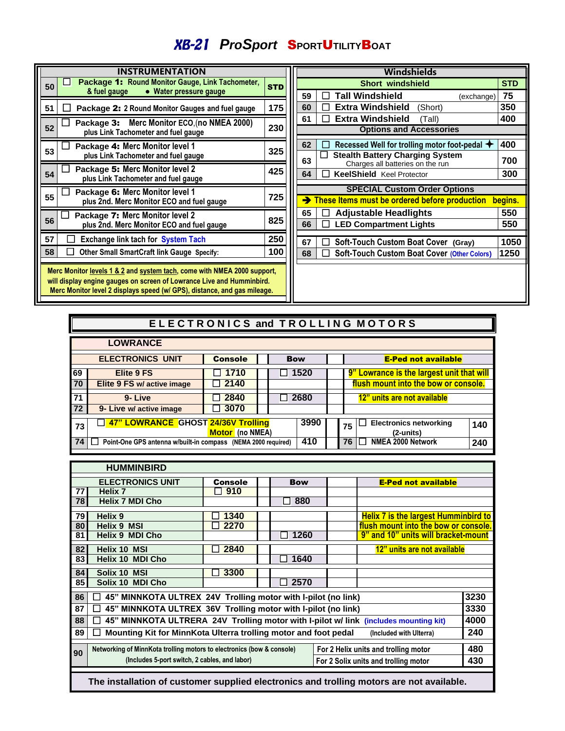## *ProSport* S**PORT**U**TILITY**B**OAT**

| <b>INSTRUMENTATION</b> |                                                                                                                                                                                                                              |            |  |  |  |  |
|------------------------|------------------------------------------------------------------------------------------------------------------------------------------------------------------------------------------------------------------------------|------------|--|--|--|--|
| 50                     | Package 1: Round Monitor Gauge, Link Tachometer,<br>& fuel gauge<br>• Water pressure gauge                                                                                                                                   | <b>STD</b> |  |  |  |  |
| 51                     | Package 2: 2 Round Monitor Gauges and fuel gauge                                                                                                                                                                             | 175        |  |  |  |  |
| 52                     | Package 3: Merc Monitor ECO, (no NMEA 2000)<br>plus Link Tachometer and fuel gauge                                                                                                                                           | 230        |  |  |  |  |
| 53                     | Package 4: Merc Monitor level 1<br>plus Link Tachometer and fuel gauge                                                                                                                                                       | 325        |  |  |  |  |
| 54                     | Package 5: Merc Monitor level 2<br>plus Link Tachometer and fuel gauge                                                                                                                                                       | 425        |  |  |  |  |
| 55                     | Package 6: Merc Monitor level 1<br>plus 2nd. Merc Monitor ECO and fuel gauge                                                                                                                                                 | 725        |  |  |  |  |
| 56                     | Package 7: Merc Monitor level 2<br>plus 2nd. Merc Monitor ECO and fuel gauge                                                                                                                                                 | 825        |  |  |  |  |
| 57                     | <b>Exchange link tach for System Tach</b>                                                                                                                                                                                    | 250        |  |  |  |  |
| 58                     | Other Small SmartCraft link Gauge Specify:                                                                                                                                                                                   | 100        |  |  |  |  |
|                        | Merc Monitor levels 1 & 2 and system tach, come with NMEA 2000 support,<br>will display engine gauges on screen of Lowrance Live and Humminbird.<br>Merc Monitor level 2 displays speed (w/ GPS), distance, and gas mileage. |            |  |  |  |  |

| Windshields                                                                      |                                                    |         |  |  |  |  |  |
|----------------------------------------------------------------------------------|----------------------------------------------------|---------|--|--|--|--|--|
| <b>Short windshield</b>                                                          |                                                    |         |  |  |  |  |  |
| 59                                                                               | Tall Windshield<br>(exchange)                      | 75      |  |  |  |  |  |
| 60                                                                               | <b>Extra Windshield</b><br>(Short)                 | 350     |  |  |  |  |  |
| 61                                                                               | <b>Extra Windshield</b><br>(Tall)                  | 400     |  |  |  |  |  |
|                                                                                  | <b>Options and Accessories</b>                     |         |  |  |  |  |  |
| 62                                                                               | Recessed Well for trolling motor foot-pedal        | 400     |  |  |  |  |  |
| <b>Stealth Battery Charging System</b><br>63<br>Charges all batteries on the run |                                                    |         |  |  |  |  |  |
| 64<br><b>KeelShield</b> Keel Protector                                           |                                                    |         |  |  |  |  |  |
| <b>SPECIAL Custom Order Options</b>                                              |                                                    |         |  |  |  |  |  |
|                                                                                  | These Items must be ordered before production      | begins. |  |  |  |  |  |
| 65                                                                               | <b>Adjustable Headlights</b>                       | 550     |  |  |  |  |  |
| 66                                                                               | <b>LED Compartment Lights</b>                      | 550     |  |  |  |  |  |
|                                                                                  |                                                    |         |  |  |  |  |  |
| 67                                                                               | Soft-Touch Custom Boat Cover (Gray)                | 1050    |  |  |  |  |  |
| 68                                                                               | <b>Soft-Touch Custom Boat Cover (Other Colors)</b> | 1250    |  |  |  |  |  |
|                                                                                  |                                                    |         |  |  |  |  |  |

|                         | ELECTRONICS and TROLLING MOTORS                               |                        |                      |            |  |                                                               |  |  |
|-------------------------|---------------------------------------------------------------|------------------------|----------------------|------------|--|---------------------------------------------------------------|--|--|
| <b>LOWRANCE</b>         |                                                               |                        |                      |            |  |                                                               |  |  |
| <b>ELECTRONICS UNIT</b> |                                                               | <b>Console</b>         |                      | <b>Bow</b> |  | <b>E-Ped not available</b>                                    |  |  |
| 69                      | Elite 9 FS                                                    | 1710<br>$\blacksquare$ | 1520<br>$\mathsf{L}$ |            |  | 9" Lowrance is the largest unit that will                     |  |  |
| 70                      | Elite 9 FS w/ active image                                    | 2140                   |                      |            |  | flush mount into the bow or console.                          |  |  |
| 71                      | 9-Live                                                        | 2840                   | 2680                 |            |  | 12" units are not available                                   |  |  |
| 72                      | 3070<br>9- Live w/ active image                               |                        |                      |            |  |                                                               |  |  |
| 73                      | 47" LOWRANCE GHOST 24/36V Trolling                            | Motor (no NMEA)        |                      | 3990       |  | <b>Electronics networking</b><br>140<br>75<br>$(2$ -units $)$ |  |  |
| 74                      | Point-One GPS antenna w/built-in compass (NEMA 2000 required) |                        |                      | 410        |  | NMEA 2000 Network<br>76<br>240                                |  |  |

|                                                                             | <b>HUMMINBIRD</b>                                                                                             |                |  |            |  |                                             |      |
|-----------------------------------------------------------------------------|---------------------------------------------------------------------------------------------------------------|----------------|--|------------|--|---------------------------------------------|------|
|                                                                             | <b>ELECTRONICS UNIT</b>                                                                                       | <b>Console</b> |  | <b>Bow</b> |  | <b>E-Ped not available</b>                  |      |
| 77                                                                          | Helix <sub>7</sub>                                                                                            | 910            |  |            |  |                                             |      |
| 78                                                                          | <b>Helix 7 MDI Cho</b>                                                                                        |                |  | 880        |  |                                             |      |
| 79                                                                          | Helix 9                                                                                                       | 1340           |  |            |  | <b>Helix 7 is the largest Humminbird to</b> |      |
| 80                                                                          | <b>Helix 9 MSI</b>                                                                                            | 2270           |  |            |  | flush mount into the bow or console.        |      |
| 81                                                                          | <b>Helix 9 MDI Cho</b>                                                                                        |                |  | 1260       |  | 9" and 10" units will bracket-mount         |      |
| 82                                                                          | <b>Helix 10 MSI</b>                                                                                           | 2840           |  |            |  | 12" units are not available                 |      |
| 83                                                                          | <b>Helix 10 MDI Cho</b>                                                                                       |                |  | 1640       |  |                                             |      |
| 84                                                                          | Solix 10 MSI                                                                                                  | 3300           |  |            |  |                                             |      |
| 85                                                                          | Solix 10 MDI Cho                                                                                              |                |  | 2570       |  |                                             |      |
| 3230<br>45" MINNKOTA ULTREX 24V Trolling motor with I-pilot (no link)<br>86 |                                                                                                               |                |  |            |  |                                             |      |
| 87                                                                          | 45" MINNKOTA ULTREX 36V Trolling motor with I-pilot (no link)                                                 |                |  |            |  |                                             | 3330 |
| 88                                                                          | 45" MINNKOTA ULTRERA 24V Trolling motor with I-pilot w/ link (includes mounting kit)                          |                |  |            |  |                                             | 4000 |
| 89                                                                          | Mounting Kit for MinnKota Ulterra trolling motor and foot pedal                                               |                |  |            |  | (Included with Ulterra)                     | 240  |
|                                                                             | Networking of MinnKota trolling motors to electronics (bow & console)<br>For 2 Helix units and trolling motor |                |  |            |  |                                             | 480  |
| 90                                                                          | (Includes 5-port switch, 2 cables, and labor)<br>For 2 Solix units and trolling motor                         |                |  |            |  |                                             |      |
|                                                                             |                                                                                                               |                |  |            |  |                                             |      |

 **The installation of customer supplied electronics and trolling motors are not available.**